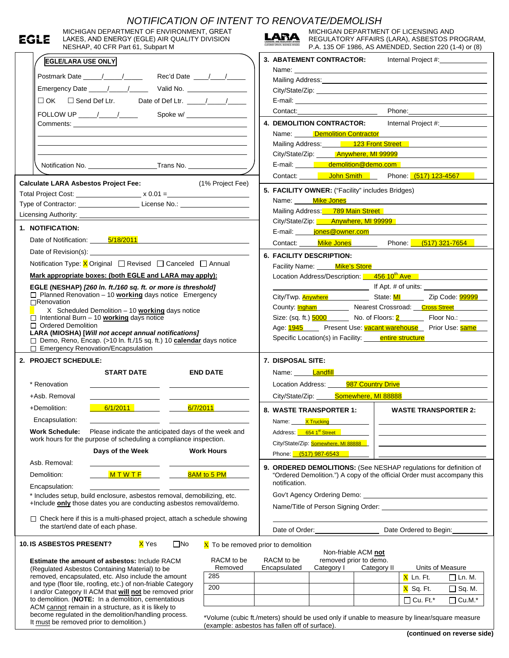| NOTIFICATION OF INTENT TO RENOVATE/DEMOLISH                                                                                             |                                                                                                                                                                                                                               |  |  |  |  |  |  |  |
|-----------------------------------------------------------------------------------------------------------------------------------------|-------------------------------------------------------------------------------------------------------------------------------------------------------------------------------------------------------------------------------|--|--|--|--|--|--|--|
| MICHIGAN DEPARTMENT OF ENVIRONMENT, GREAT<br>EGLE<br>LAKES, AND ENERGY (EGLE) AIR QUALITY DIVISION<br>NESHAP, 40 CFR Part 61, Subpart M | MICHIGAN DEPARTMENT OF LICENSING AND<br>LARA<br>REGULATORY AFFAIRS (LARA), ASBESTOS PROGRAM,<br>P.A. 135 OF 1986, AS AMENDED, Section 220 (1-4) or (8)                                                                        |  |  |  |  |  |  |  |
| <b>EGLE/LARA USE ONLY</b>                                                                                                               | 3. ABATEMENT CONTRACTOR:<br>Internal Project #:                                                                                                                                                                               |  |  |  |  |  |  |  |
|                                                                                                                                         | Name: Name: Name: Name: Name: Name: Name: Name: Name: Name: Name: Name: Name: Name: Name: Name: Name: Name: Name: Name: Name: Name: Name: Name: Name: Name: Name: Name: Name: Name: Name: Name: Name: Name: Name: Name: Name: |  |  |  |  |  |  |  |
|                                                                                                                                         | Mailing Address: Mail and Mailing Address: Mail and Mail and Mail and Mail and Mail and Mail and Mail and Mail                                                                                                                |  |  |  |  |  |  |  |
|                                                                                                                                         |                                                                                                                                                                                                                               |  |  |  |  |  |  |  |
|                                                                                                                                         |                                                                                                                                                                                                                               |  |  |  |  |  |  |  |
|                                                                                                                                         | Phone:<br>Contact:_________________________                                                                                                                                                                                   |  |  |  |  |  |  |  |
|                                                                                                                                         | 4. DEMOLITION CONTRACTOR:<br>Internal Project #:______________<br>Name: Demolition Contractor                                                                                                                                 |  |  |  |  |  |  |  |
|                                                                                                                                         | Mailing Address: 123 Front Street                                                                                                                                                                                             |  |  |  |  |  |  |  |
|                                                                                                                                         | City/State/Zip: Nanywhere, MI 99999                                                                                                                                                                                           |  |  |  |  |  |  |  |
|                                                                                                                                         | E-mail: demolition@demo.com                                                                                                                                                                                                   |  |  |  |  |  |  |  |
|                                                                                                                                         | Contact: <b>John Smith</b> Phone: (517) 123-4567                                                                                                                                                                              |  |  |  |  |  |  |  |
| <b>Calculate LARA Asbestos Project Fee:</b>                                                                                             | (1% Project Fee)<br>5. FACILITY OWNER: ("Facility" includes Bridges)                                                                                                                                                          |  |  |  |  |  |  |  |
| Total Project Cost: ________________________ x 0.01 =___________________________                                                        | Name: Mike Jones                                                                                                                                                                                                              |  |  |  |  |  |  |  |
| Type of Contractor: _________________________License No.: ______________________                                                        | Mailing Address: 789 Main Street                                                                                                                                                                                              |  |  |  |  |  |  |  |
|                                                                                                                                         | City/State/Zip: Anywhere, MI 99999                                                                                                                                                                                            |  |  |  |  |  |  |  |
| 1. NOTIFICATION:                                                                                                                        | E-mail: <b>iones@owner.com</b>                                                                                                                                                                                                |  |  |  |  |  |  |  |
| Date of Notification: 5/18/2011                                                                                                         | Contact: Mike Jones Phone: (517) 321-7654                                                                                                                                                                                     |  |  |  |  |  |  |  |
|                                                                                                                                         | <b>6. FACILITY DESCRIPTION:</b>                                                                                                                                                                                               |  |  |  |  |  |  |  |
| Notification Type: $X$ Original $\Box$ Revised $\Box$ Canceled $\Box$ Annual                                                            | Facility Name: Mike's Store                                                                                                                                                                                                   |  |  |  |  |  |  |  |
| Mark appropriate boxes: (both EGLE and LARA may apply):                                                                                 | Location Address/Description: 456 10 <sup>th</sup> Ave                                                                                                                                                                        |  |  |  |  |  |  |  |
| EGLE (NESHAP) [260 In. ft./160 sq. ft. or more is threshold]<br>$\Box$ Planned Renovation - 10 working days notice Emergency            |                                                                                                                                                                                                                               |  |  |  |  |  |  |  |
| □Renovation                                                                                                                             | City/Twp. <b>Anywhere</b> State: MI Zip Code: 99999<br>County: <b>Ingham</b> Nearest Crossroad: Cross Street                                                                                                                  |  |  |  |  |  |  |  |
| X Scheduled Demolition $-10$ working days notice<br>$\Box$ Intentional Burn - 10 <b>working</b> days notice                             | Size: (sq. ft.) <b>5000</b> No. of Floors: 2 Floor No.: ______                                                                                                                                                                |  |  |  |  |  |  |  |
|                                                                                                                                         |                                                                                                                                                                                                                               |  |  |  |  |  |  |  |
| □ Ordered Demolition                                                                                                                    |                                                                                                                                                                                                                               |  |  |  |  |  |  |  |
| LARA (MIOSHA) [Will not accept annual notifications]                                                                                    | Age: 1945 Present Use: vacant warehouse Prior Use: same                                                                                                                                                                       |  |  |  |  |  |  |  |
| □ Demo, Reno, Encap. (>10 In. ft./15 sq. ft.) 10 calendar days notice<br>$\Box$ Emergency Renovation/Encapsulation                      | Specific Location(s) in Facility: entire structure                                                                                                                                                                            |  |  |  |  |  |  |  |
| 2. PROJECT SCHEDULE:                                                                                                                    | 7. DISPOSAL SITE:                                                                                                                                                                                                             |  |  |  |  |  |  |  |
| <b>START DATE</b><br><b>END DATE</b>                                                                                                    | Name: Landfill Landfill                                                                                                                                                                                                       |  |  |  |  |  |  |  |
| * Renovation                                                                                                                            | Location Address:<br>987 Country Drive                                                                                                                                                                                        |  |  |  |  |  |  |  |
| +Asb. Removal                                                                                                                           | Somewhere, MI 88888<br>City/State/Zip:                                                                                                                                                                                        |  |  |  |  |  |  |  |
| 6/1/2011<br>6/7/2011<br>+Demolition:                                                                                                    |                                                                                                                                                                                                                               |  |  |  |  |  |  |  |
|                                                                                                                                         | 8. WASTE TRANSPORTER 1:<br><b>WASTE TRANSPORTER 2:</b>                                                                                                                                                                        |  |  |  |  |  |  |  |
| Encapsulation:<br><b>Work Schedule:</b><br>Please indicate the anticipated days of the week and                                         | X Trucking<br>Name:                                                                                                                                                                                                           |  |  |  |  |  |  |  |
| work hours for the purpose of scheduling a compliance inspection.                                                                       | Address: 654 1st Street                                                                                                                                                                                                       |  |  |  |  |  |  |  |
| Days of the Week<br><b>Work Hours</b>                                                                                                   | City/State/Zip: Somewhere, MI 88888                                                                                                                                                                                           |  |  |  |  |  |  |  |
| Asb. Removal:                                                                                                                           | Phone: (517) 987-6543                                                                                                                                                                                                         |  |  |  |  |  |  |  |
| 8AM to 5 PM<br>Demolition:<br>MTWTF                                                                                                     | 9. ORDERED DEMOLITIONS: (See NESHAP regulations for definition of<br>"Ordered Demolition.") A copy of the official Order must accompany this                                                                                  |  |  |  |  |  |  |  |
| Encapsulation:                                                                                                                          | notification.                                                                                                                                                                                                                 |  |  |  |  |  |  |  |
| * Includes setup, build enclosure, asbestos removal, demobilizing, etc.                                                                 |                                                                                                                                                                                                                               |  |  |  |  |  |  |  |
| +Include only those dates you are conducting asbestos removal/demo.                                                                     |                                                                                                                                                                                                                               |  |  |  |  |  |  |  |
| $\Box$ Check here if this is a multi-phased project, attach a schedule showing                                                          |                                                                                                                                                                                                                               |  |  |  |  |  |  |  |
| the start/end date of each phase.                                                                                                       | Date of Order: and the state of Order:<br>Date Ordered to Begin:                                                                                                                                                              |  |  |  |  |  |  |  |
| <b>10. IS ASBESTOS PRESENT?</b><br>X Yes<br>$\square$ No                                                                                | $\overline{X}$ To be removed prior to demolition                                                                                                                                                                              |  |  |  |  |  |  |  |
|                                                                                                                                         | Non-friable ACM not                                                                                                                                                                                                           |  |  |  |  |  |  |  |
| Estimate the amount of asbestos: Include RACM                                                                                           | RACM to be<br>RACM to be<br>removed prior to demo.<br>Removed<br>Units of Measure<br>Encapsulated<br>Category I<br>Category II                                                                                                |  |  |  |  |  |  |  |
| (Regulated Asbestos Containing Material) to be<br>removed, encapsulated, etc. Also include the amount                                   | 285<br>X Ln. Ft.<br>$\Box$ Ln. M.                                                                                                                                                                                             |  |  |  |  |  |  |  |
| and type (floor tile, roofing, etc.) of non-friable Category                                                                            | 200<br>X Sq. Ft.<br>$\Box$ Sq. M.                                                                                                                                                                                             |  |  |  |  |  |  |  |
| I and/or Category II ACM that will not be removed prior<br>to demolition. (NOTE: In a demolition, cementatious                          | $\Box$ Cu. Ft.*<br>$\Box$ Cu.M.*                                                                                                                                                                                              |  |  |  |  |  |  |  |
| ACM cannot remain in a structure, as it is likely to<br>become regulated in the demolition/handling process.                            | *Volume (cubic ft./meters) should be used only if unable to measure by linear/square measure                                                                                                                                  |  |  |  |  |  |  |  |